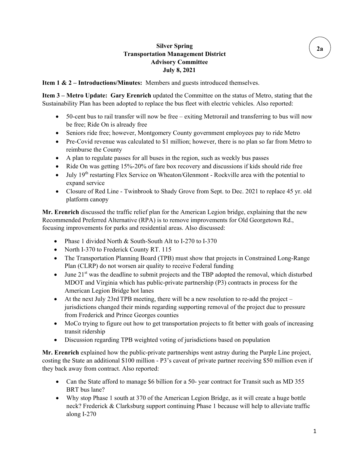## **Silver Spring Transportation Management District Advisory Committee July 8, 2021**

**Item 1 & 2 – Introductions/Minutes:** Members and guests introduced themselves.

**Item 3 – Metro Update: Gary Erenrich** updated the Committee on the status of Metro, stating that the Sustainability Plan has been adopted to replace the bus fleet with electric vehicles. Also reported:

- 50-cent bus to rail transfer will now be free exiting Metrorail and transferring to bus will now be free; Ride On is already free
- Seniors ride free; however, Montgomery County government employees pay to ride Metro
- Pre-Covid revenue was calculated to \$1 million; however, there is no plan so far from Metro to reimburse the County
- A plan to regulate passes for all buses in the region, such as weekly bus passes
- Ride On was getting 15%-20% of fare box recovery and discussions if kids should ride free
- July 19<sup>th</sup> restarting Flex Service on Wheaton/Glenmont Rockville area with the potential to expand service
- Closure of Red Line Twinbrook to Shady Grove from Sept. to Dec. 2021 to replace 45 yr. old platform canopy

**Mr. Erenrich** discussed the traffic relief plan for the American Legion bridge, explaining that the new Recommended Preferred Alternative (RPA) is to remove improvements for Old Georgetown Rd., focusing improvements for parks and residential areas. Also discussed:

- Phase 1 divided North & South-South Alt to I-270 to I-370
- North I-370 to Frederick County RT. 115
- The Transportation Planning Board (TPB) must show that projects in Constrained Long-Range Plan (CLRP) do not worsen air quality to receive Federal funding
- June  $21<sup>st</sup>$  was the deadline to submit projects and the TBP adopted the removal, which disturbed MDOT and Virginia which has public-private partnership (P3) contracts in process for the American Legion Bridge hot lanes
- At the next July 23rd TPB meeting, there will be a new resolution to re-add the project jurisdictions changed their minds regarding supporting removal of the project due to pressure from Frederick and Prince Georges counties
- MoCo trying to figure out how to get transportation projects to fit better with goals of increasing transit ridership
- Discussion regarding TPB weighted voting of jurisdictions based on population

**Mr. Erenrich** explained how the public-private partnerships went astray during the Purple Line project, costing the State an additional \$100 million - P3's caveat of private partner receiving \$50 million even if they back away from contract. Also reported:

- Can the State afford to manage \$6 billion for a 50- year contract for Transit such as MD 355 BRT bus lane?
- Why stop Phase 1 south at 370 of the American Legion Bridge, as it will create a huge bottle neck? Frederick & Clarksburg support continuing Phase 1 because will help to alleviate traffic along I-270

**2a**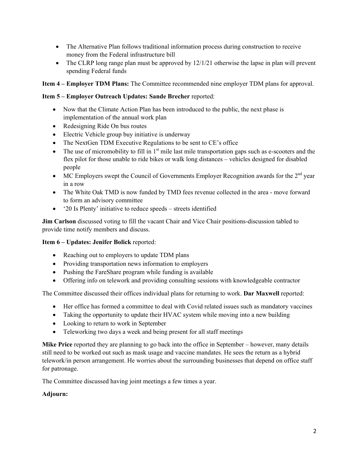- The Alternative Plan follows traditional information process during construction to receive money from the Federal infrastructure bill
- The CLRP long range plan must be approved by 12/1/21 otherwise the lapse in plan will prevent spending Federal funds

**Item 4 – Employer TDM Plans:** The Committee recommended nine employer TDM plans for approval.

### **Item 5 – Employer Outreach Updates: Sande Brecher** reported:

- Now that the Climate Action Plan has been introduced to the public, the next phase is implementation of the annual work plan
- Redesigning Ride On bus routes
- Electric Vehicle group buy initiative is underway
- The NextGen TDM Executive Regulations to be sent to CE's office
- The use of micromobility to fill in  $1<sup>st</sup>$  mile last mile transportation gaps such as e-scooters and the flex pilot for those unable to ride bikes or walk long distances – vehicles designed for disabled people
- MC Employers swept the Council of Governments Employer Recognition awards for the  $2<sup>nd</sup>$  year in a row
- The White Oak TMD is now funded by TMD fees revenue collected in the area move forward to form an advisory committee
- '20 Is Plenty' initiative to reduce speeds streets identified

**Jim Carlson** discussed voting to fill the vacant Chair and Vice Chair positions-discussion tabled to provide time notify members and discuss.

### **Item 6 – Updates: Jenifer Bolick** reported:

- Reaching out to employers to update TDM plans
- Providing transportation news information to employers
- Pushing the FareShare program while funding is available
- Offering info on telework and providing consulting sessions with knowledgeable contractor

The Committee discussed their offices individual plans for returning to work. **Dar Maxwell** reported:

- Her office has formed a committee to deal with Covid related issues such as mandatory vaccines
- Taking the opportunity to update their HVAC system while moving into a new building
- Looking to return to work in September
- Teleworking two days a week and being present for all staff meetings

**Mike Price** reported they are planning to go back into the office in September – however, many details still need to be worked out such as mask usage and vaccine mandates. He sees the return as a hybrid telework/in person arrangement. He worries about the surrounding businesses that depend on office staff for patronage.

The Committee discussed having joint meetings a few times a year.

#### **Adjourn:**